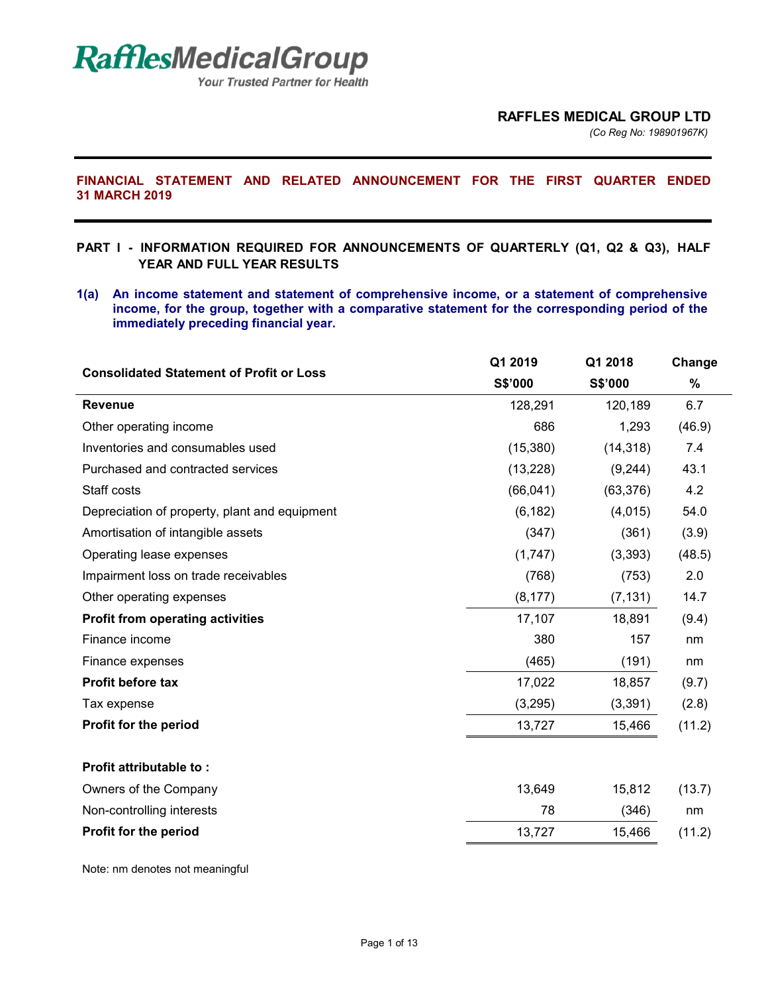*(Co Reg No: 198901967K)*

# **FINANCIAL STATEMENT AND RELATED ANNOUNCEMENT FOR THE FIRST QUARTER ENDED 31 MARCH 2019**

- **PART I INFORMATION REQUIRED FOR ANNOUNCEMENTS OF QUARTERLY (Q1, Q2 & Q3), HALF YEAR AND FULL YEAR RESULTS**
- **1(a) An income statement and statement of comprehensive income, or a statement of comprehensive income, for the group, together with a comparative statement for the corresponding period of the immediately preceding financial year.**

| <b>Consolidated Statement of Profit or Loss</b> | Q1 2019   | Q1 2018   | Change |  |
|-------------------------------------------------|-----------|-----------|--------|--|
|                                                 | S\$'000   | S\$'000   | $\%$   |  |
| <b>Revenue</b>                                  | 128,291   | 120,189   | 6.7    |  |
| Other operating income                          | 686       | 1,293     | (46.9) |  |
| Inventories and consumables used                | (15, 380) | (14, 318) | 7.4    |  |
| Purchased and contracted services               | (13, 228) | (9,244)   | 43.1   |  |
| Staff costs                                     | (66, 041) | (63, 376) | 4.2    |  |
| Depreciation of property, plant and equipment   | (6, 182)  | (4,015)   | 54.0   |  |
| Amortisation of intangible assets               | (347)     | (361)     | (3.9)  |  |
| Operating lease expenses                        | (1,747)   | (3, 393)  | (48.5) |  |
| Impairment loss on trade receivables            | (768)     | (753)     | 2.0    |  |
| Other operating expenses                        | (8, 177)  | (7, 131)  | 14.7   |  |
| <b>Profit from operating activities</b>         | 17,107    | 18,891    | (9.4)  |  |
| Finance income                                  | 380       | 157       | nm     |  |
| Finance expenses                                | (465)     | (191)     | nm     |  |
| Profit before tax                               | 17,022    | 18,857    | (9.7)  |  |
| Tax expense                                     | (3,295)   | (3, 391)  | (2.8)  |  |
| Profit for the period                           | 13,727    | 15,466    | (11.2) |  |
|                                                 |           |           |        |  |
| <b>Profit attributable to:</b>                  |           |           |        |  |
| Owners of the Company                           | 13,649    | 15,812    | (13.7) |  |
| Non-controlling interests                       | 78        | (346)     | nm     |  |
| Profit for the period                           | 13,727    | 15,466    | (11.2) |  |
|                                                 |           |           |        |  |

Note: nm denotes not meaningful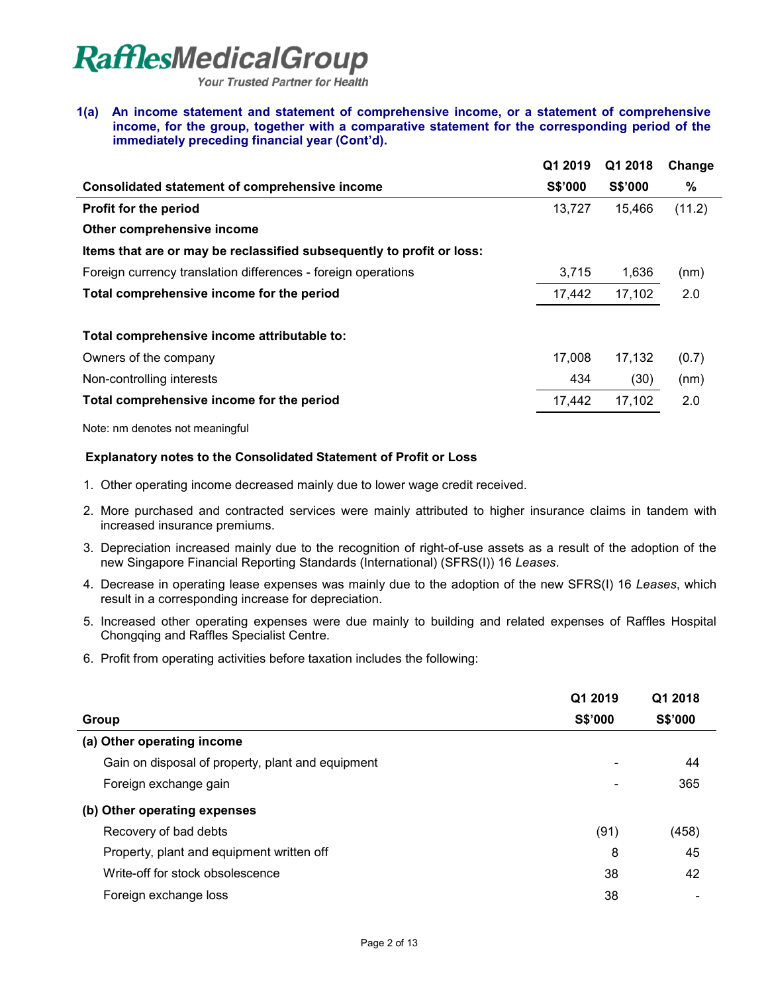**Your Trusted Partner for Health** 

#### **1(a) An income statement and statement of comprehensive income, or a statement of comprehensive income, for the group, together with a comparative statement for the corresponding period of the immediately preceding financial year (Cont'd).**

| Q1 2019        | Q1 2018        | Change |
|----------------|----------------|--------|
| <b>S\$'000</b> | <b>S\$'000</b> | %      |
| 13,727         | 15,466         | (11.2) |
|                |                |        |
|                |                |        |
| 3,715          | 1,636          | (nm)   |
| 17,442         | 17,102         | 2.0    |
|                |                |        |
| 17.008         | 17.132         | (0.7)  |
| 434            | (30)           | (nm)   |
| 17,442         | 17,102         | 2.0    |
|                |                |        |

Note: nm denotes not meaningful

# **Explanatory notes to the Consolidated Statement of Profit or Loss**

- 1. Other operating income decreased mainly due to lower wage credit received.
- 2. More purchased and contracted services were mainly attributed to higher insurance claims in tandem with increased insurance premiums.
- 3. Depreciation increased mainly due to the recognition of right-of-use assets as a result of the adoption of the new Singapore Financial Reporting Standards (International) (SFRS(I)) 16 *Leases*.
- 4. Decrease in operating lease expenses was mainly due to the adoption of the new SFRS(I) 16 *Leases*, which result in a corresponding increase for depreciation.
- 5. Increased other operating expenses were due mainly to building and related expenses of Raffles Hospital Chongqing and Raffles Specialist Centre.
- 6. Profit from operating activities before taxation includes the following:

|                                                   | Q1 2019        | Q1 2018        |
|---------------------------------------------------|----------------|----------------|
| Group                                             | <b>S\$'000</b> | <b>S\$'000</b> |
| (a) Other operating income                        |                |                |
| Gain on disposal of property, plant and equipment |                | 44             |
| Foreign exchange gain                             |                | 365            |
| (b) Other operating expenses                      |                |                |
| Recovery of bad debts                             | (91)           | (458)          |
| Property, plant and equipment written off         | 8              | 45             |
| Write-off for stock obsolescence                  | 38             | 42             |
| Foreign exchange loss                             | 38             |                |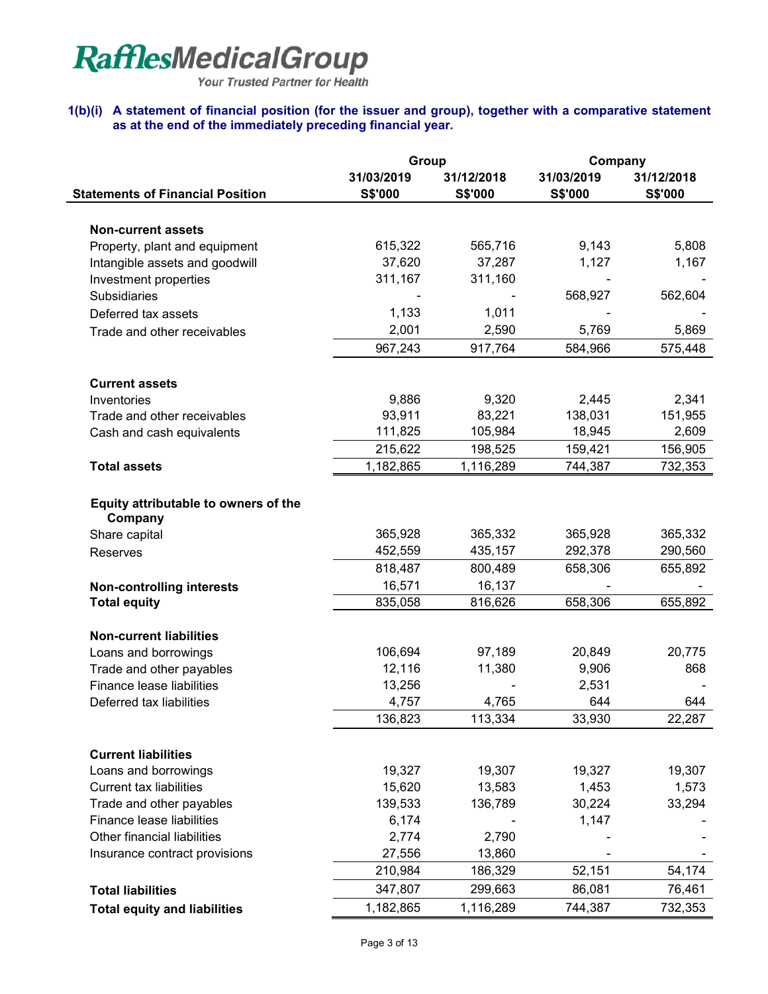Your Trusted Partner for Health

## **1(b)(i) A statement of financial position (for the issuer and group), together with a comparative statement as at the end of the immediately preceding financial year.**

|                                                 | Group          |            | Company        |            |  |
|-------------------------------------------------|----------------|------------|----------------|------------|--|
|                                                 | 31/03/2019     | 31/12/2018 | 31/03/2019     | 31/12/2018 |  |
| <b>Statements of Financial Position</b>         | <b>S\$'000</b> | S\$'000    | <b>S\$'000</b> | S\$'000    |  |
|                                                 |                |            |                |            |  |
| <b>Non-current assets</b>                       |                |            |                |            |  |
| Property, plant and equipment                   | 615,322        | 565,716    | 9,143          | 5,808      |  |
| Intangible assets and goodwill                  | 37,620         | 37,287     | 1,127          | 1,167      |  |
| Investment properties                           | 311,167        | 311,160    |                |            |  |
| <b>Subsidiaries</b>                             |                |            | 568,927        | 562,604    |  |
| Deferred tax assets                             | 1,133          | 1,011      |                |            |  |
| Trade and other receivables                     | 2,001          | 2,590      | 5,769          | 5,869      |  |
|                                                 | 967,243        | 917,764    | 584,966        | 575,448    |  |
| <b>Current assets</b>                           |                |            |                |            |  |
| Inventories                                     | 9,886          | 9,320      | 2,445          | 2,341      |  |
| Trade and other receivables                     | 93,911         | 83,221     | 138,031        | 151,955    |  |
| Cash and cash equivalents                       | 111,825        | 105,984    | 18,945         | 2,609      |  |
|                                                 | 215,622        | 198,525    | 159,421        | 156,905    |  |
| <b>Total assets</b>                             | 1,182,865      | 1,116,289  | 744,387        | 732,353    |  |
|                                                 |                |            |                |            |  |
| Equity attributable to owners of the<br>Company |                |            |                |            |  |
| Share capital                                   | 365,928        | 365,332    | 365,928        | 365,332    |  |
| Reserves                                        | 452,559        | 435,157    | 292,378        | 290,560    |  |
|                                                 | 818,487        | 800,489    | 658,306        | 655,892    |  |
| <b>Non-controlling interests</b>                | 16,571         | 16,137     |                |            |  |
| <b>Total equity</b>                             | 835,058        | 816,626    | 658,306        | 655,892    |  |
|                                                 |                |            |                |            |  |
| <b>Non-current liabilities</b>                  |                |            |                |            |  |
| Loans and borrowings                            | 106,694        | 97,189     | 20,849         | 20,775     |  |
| Trade and other payables                        | 12,116         | 11,380     | 9,906          | 868        |  |
| Finance lease liabilities                       | 13,256         |            | 2,531          |            |  |
| Deferred tax liabilities                        | 4,757          | 4,765      | 644            | 644        |  |
|                                                 | 136,823        | 113,334    | 33,930         | 22,287     |  |
| <b>Current liabilities</b>                      |                |            |                |            |  |
| Loans and borrowings                            | 19,327         | 19,307     | 19,327         | 19,307     |  |
| <b>Current tax liabilities</b>                  | 15,620         | 13,583     | 1,453          | 1,573      |  |
| Trade and other payables                        | 139,533        | 136,789    | 30,224         | 33,294     |  |
| Finance lease liabilities                       | 6,174          |            | 1,147          |            |  |
| Other financial liabilities                     | 2,774          | 2,790      |                |            |  |
| Insurance contract provisions                   | 27,556         | 13,860     |                |            |  |
|                                                 | 210,984        | 186,329    | 52,151         | 54,174     |  |
| <b>Total liabilities</b>                        | 347,807        | 299,663    | 86,081         | 76,461     |  |
| <b>Total equity and liabilities</b>             | 1,182,865      | 1,116,289  | 744,387        | 732,353    |  |
|                                                 |                |            |                |            |  |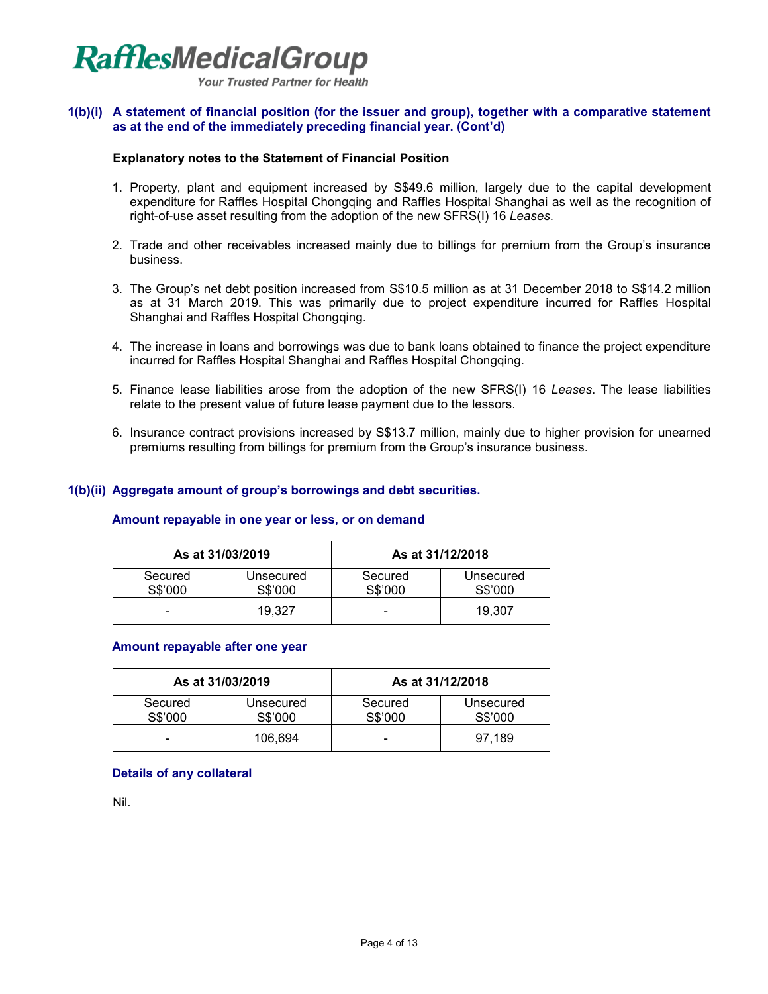

### **1(b)(i) A statement of financial position (for the issuer and group), together with a comparative statement as at the end of the immediately preceding financial year. (Cont'd)**

### **Explanatory notes to the Statement of Financial Position**

- 1. Property, plant and equipment increased by S\$49.6 million, largely due to the capital development expenditure for Raffles Hospital Chongqing and Raffles Hospital Shanghai as well as the recognition of right-of-use asset resulting from the adoption of the new SFRS(I) 16 *Leases*.
- 2. Trade and other receivables increased mainly due to billings for premium from the Group's insurance business.
- 3. The Group's net debt position increased from S\$10.5 million as at 31 December 2018 to S\$14.2 million as at 31 March 2019. This was primarily due to project expenditure incurred for Raffles Hospital Shanghai and Raffles Hospital Chongqing.
- 4. The increase in loans and borrowings was due to bank loans obtained to finance the project expenditure incurred for Raffles Hospital Shanghai and Raffles Hospital Chongqing.
- 5. Finance lease liabilities arose from the adoption of the new SFRS(I) 16 *Leases*. The lease liabilities relate to the present value of future lease payment due to the lessors.
- 6. Insurance contract provisions increased by S\$13.7 million, mainly due to higher provision for unearned premiums resulting from billings for premium from the Group's insurance business.

### **1(b)(ii) Aggregate amount of group's borrowings and debt securities.**

#### **Amount repayable in one year or less, or on demand**

| As at 31/03/2019   |                      |                    | As at 31/12/2018     |
|--------------------|----------------------|--------------------|----------------------|
| Secured<br>S\$'000 | Unsecured<br>S\$'000 | Secured<br>S\$'000 | Unsecured<br>S\$'000 |
|                    | 19.327               |                    | 19.307               |

#### **Amount repayable after one year**

| As at 31/03/2019   |                      | As at 31/12/2018   |                      |
|--------------------|----------------------|--------------------|----------------------|
| Secured<br>S\$'000 | Unsecured<br>S\$'000 | Secured<br>S\$'000 | Unsecured<br>S\$'000 |
|                    | 106.694              | -                  | 97.189               |

### **Details of any collateral**

Nil.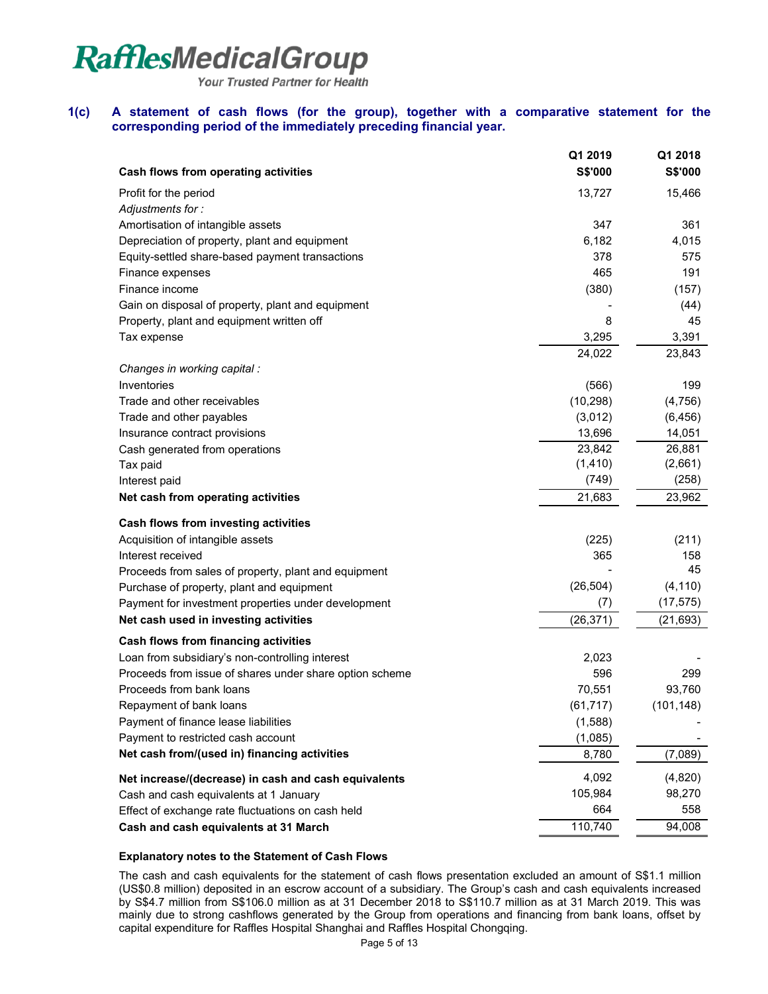Your Trusted Partner for Health

# **1(c) A statement of cash flows (for the group), together with a comparative statement for the corresponding period of the immediately preceding financial year.**

| S\$'000<br>S\$'000<br>Cash flows from operating activities<br>13,727<br>15,466<br>Profit for the period<br>Adjustments for:<br>Amortisation of intangible assets<br>347<br>361<br>6,182<br>4,015<br>Depreciation of property, plant and equipment<br>378<br>Equity-settled share-based payment transactions<br>575<br>465<br>191<br>Finance expenses | Q1 2019 | Q1 2018 |
|------------------------------------------------------------------------------------------------------------------------------------------------------------------------------------------------------------------------------------------------------------------------------------------------------------------------------------------------------|---------|---------|
|                                                                                                                                                                                                                                                                                                                                                      |         |         |
|                                                                                                                                                                                                                                                                                                                                                      |         |         |
|                                                                                                                                                                                                                                                                                                                                                      |         |         |
|                                                                                                                                                                                                                                                                                                                                                      |         |         |
|                                                                                                                                                                                                                                                                                                                                                      |         |         |
|                                                                                                                                                                                                                                                                                                                                                      |         |         |
|                                                                                                                                                                                                                                                                                                                                                      |         |         |
| Finance income<br>(380)<br>(157)                                                                                                                                                                                                                                                                                                                     |         |         |
| Gain on disposal of property, plant and equipment<br>(44)                                                                                                                                                                                                                                                                                            |         |         |
| 8<br>45<br>Property, plant and equipment written off                                                                                                                                                                                                                                                                                                 |         |         |
| 3,295<br>3,391<br>Tax expense                                                                                                                                                                                                                                                                                                                        |         |         |
| 23,843<br>24,022                                                                                                                                                                                                                                                                                                                                     |         |         |
| Changes in working capital :                                                                                                                                                                                                                                                                                                                         |         |         |
| Inventories<br>(566)<br>199                                                                                                                                                                                                                                                                                                                          |         |         |
| Trade and other receivables<br>(10, 298)<br>(4, 756)                                                                                                                                                                                                                                                                                                 |         |         |
| Trade and other payables<br>(3,012)<br>(6, 456)                                                                                                                                                                                                                                                                                                      |         |         |
| 13,696<br>14,051<br>Insurance contract provisions                                                                                                                                                                                                                                                                                                    |         |         |
| 23,842<br>26,881<br>Cash generated from operations                                                                                                                                                                                                                                                                                                   |         |         |
| (1, 410)<br>(2,661)<br>Tax paid                                                                                                                                                                                                                                                                                                                      |         |         |
| (749)<br>(258)<br>Interest paid                                                                                                                                                                                                                                                                                                                      |         |         |
| Net cash from operating activities<br>21,683<br>23,962                                                                                                                                                                                                                                                                                               |         |         |
| Cash flows from investing activities                                                                                                                                                                                                                                                                                                                 |         |         |
| Acquisition of intangible assets<br>(225)<br>(211)                                                                                                                                                                                                                                                                                                   |         |         |
| 365<br>Interest received<br>158                                                                                                                                                                                                                                                                                                                      |         |         |
| 45<br>Proceeds from sales of property, plant and equipment                                                                                                                                                                                                                                                                                           |         |         |
| (26, 504)<br>(4, 110)<br>Purchase of property, plant and equipment                                                                                                                                                                                                                                                                                   |         |         |
| (7)<br>(17, 575)<br>Payment for investment properties under development                                                                                                                                                                                                                                                                              |         |         |
| Net cash used in investing activities<br>(26, 371)<br>(21, 693)                                                                                                                                                                                                                                                                                      |         |         |
| Cash flows from financing activities                                                                                                                                                                                                                                                                                                                 |         |         |
| Loan from subsidiary's non-controlling interest<br>2,023                                                                                                                                                                                                                                                                                             |         |         |
| 596<br>299<br>Proceeds from issue of shares under share option scheme                                                                                                                                                                                                                                                                                |         |         |
| Proceeds from bank loans<br>70,551<br>93,760                                                                                                                                                                                                                                                                                                         |         |         |
| Repayment of bank loans<br>(61, 717)<br>(101, 148)                                                                                                                                                                                                                                                                                                   |         |         |
| Payment of finance lease liabilities<br>(1,588)                                                                                                                                                                                                                                                                                                      |         |         |
| Payment to restricted cash account<br>(1,085)                                                                                                                                                                                                                                                                                                        |         |         |
| Net cash from/(used in) financing activities<br>8,780<br>(7,089)                                                                                                                                                                                                                                                                                     |         |         |
| 4,092<br>(4,820)<br>Net increase/(decrease) in cash and cash equivalents                                                                                                                                                                                                                                                                             |         |         |
| 105,984<br>98,270<br>Cash and cash equivalents at 1 January                                                                                                                                                                                                                                                                                          |         |         |
| 664<br>558<br>Effect of exchange rate fluctuations on cash held                                                                                                                                                                                                                                                                                      |         |         |
| 110,740<br>Cash and cash equivalents at 31 March<br>94,008                                                                                                                                                                                                                                                                                           |         |         |

#### **Explanatory notes to the Statement of Cash Flows**

The cash and cash equivalents for the statement of cash flows presentation excluded an amount of S\$1.1 million (US\$0.8 million) deposited in an escrow account of a subsidiary. The Group's cash and cash equivalents increased by S\$4.7 million from S\$106.0 million as at 31 December 2018 to S\$110.7 million as at 31 March 2019. This was mainly due to strong cashflows generated by the Group from operations and financing from bank loans, offset by capital expenditure for Raffles Hospital Shanghai and Raffles Hospital Chongqing.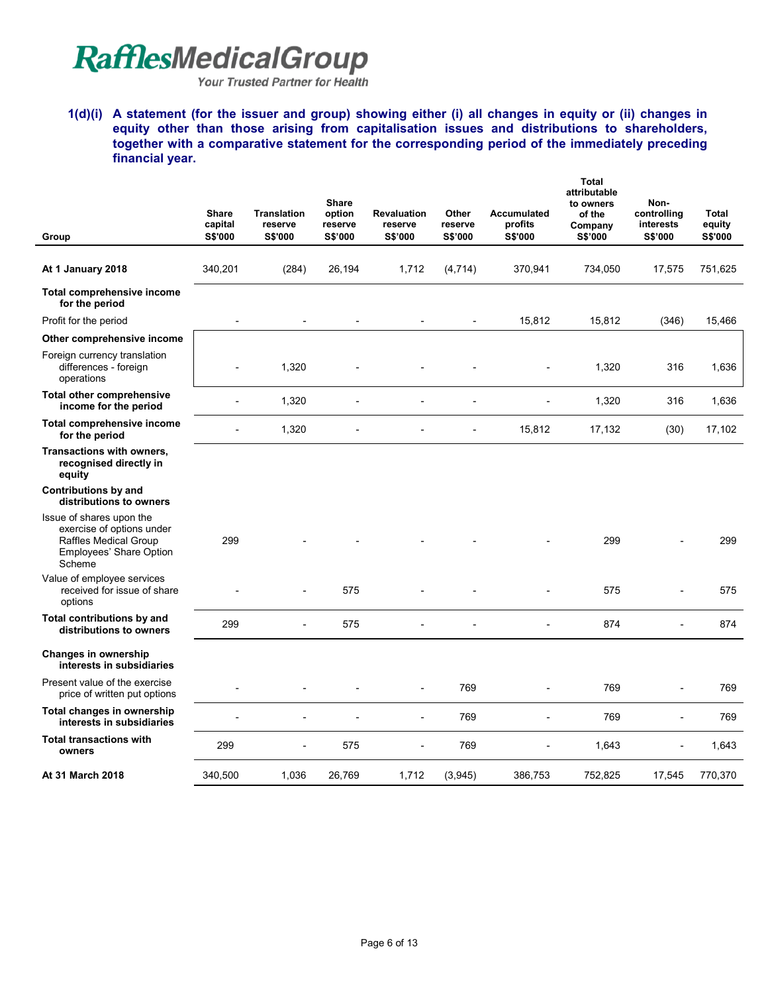Your Trusted Partner for Health

**1(d)(i) A statement (for the issuer and group) showing either (i) all changes in equity or (ii) changes in equity other than those arising from capitalisation issues and distributions to shareholders, together with a comparative statement for the corresponding period of the immediately preceding financial year.** 

|                                                                                                                     | <b>Share</b><br>capital  | <b>Translation</b><br>reserve | Share<br>option<br>reserve | <b>Revaluation</b><br>reserve | Other<br>reserve | <b>Accumulated</b><br>profits | <b>Total</b><br>attributable<br>to owners<br>of the<br>Company | Non-<br>controlling<br>interests | Total<br>equity |
|---------------------------------------------------------------------------------------------------------------------|--------------------------|-------------------------------|----------------------------|-------------------------------|------------------|-------------------------------|----------------------------------------------------------------|----------------------------------|-----------------|
| Group                                                                                                               | S\$'000                  | S\$'000                       | S\$'000                    | S\$'000                       | S\$'000          | S\$'000                       | S\$'000                                                        | S\$'000                          | S\$'000         |
| At 1 January 2018                                                                                                   | 340,201                  | (284)                         | 26,194                     | 1,712                         | (4, 714)         | 370,941                       | 734,050                                                        | 17,575                           | 751,625         |
| Total comprehensive income<br>for the period                                                                        |                          |                               |                            |                               |                  |                               |                                                                |                                  |                 |
| Profit for the period                                                                                               | $\overline{a}$           |                               |                            |                               |                  | 15,812                        | 15,812                                                         | (346)                            | 15,466          |
| Other comprehensive income                                                                                          |                          |                               |                            |                               |                  |                               |                                                                |                                  |                 |
| Foreign currency translation<br>differences - foreign<br>operations                                                 |                          | 1,320                         |                            |                               |                  |                               | 1,320                                                          | 316                              | 1,636           |
| <b>Total other comprehensive</b><br>income for the period                                                           | $\overline{\phantom{0}}$ | 1,320                         | $\overline{a}$             |                               |                  | $\overline{a}$                | 1,320                                                          | 316                              | 1,636           |
| Total comprehensive income<br>for the period                                                                        | $\overline{a}$           | 1,320                         |                            |                               | $\overline{a}$   | 15,812                        | 17,132                                                         | (30)                             | 17,102          |
| Transactions with owners,<br>recognised directly in<br>equity                                                       |                          |                               |                            |                               |                  |                               |                                                                |                                  |                 |
| Contributions by and<br>distributions to owners                                                                     |                          |                               |                            |                               |                  |                               |                                                                |                                  |                 |
| Issue of shares upon the<br>exercise of options under<br>Raffles Medical Group<br>Employees' Share Option<br>Scheme | 299                      |                               |                            |                               |                  |                               | 299                                                            |                                  | 299             |
| Value of employee services<br>received for issue of share<br>options                                                |                          |                               | 575                        |                               |                  |                               | 575                                                            |                                  | 575             |
| Total contributions by and<br>distributions to owners                                                               | 299                      | $\overline{a}$                | 575                        |                               |                  |                               | 874                                                            |                                  | 874             |
| Changes in ownership<br>interests in subsidiaries                                                                   |                          |                               |                            |                               |                  |                               |                                                                |                                  |                 |
| Present value of the exercise<br>price of written put options                                                       |                          |                               |                            |                               | 769              |                               | 769                                                            |                                  | 769             |
| Total changes in ownership<br>interests in subsidiaries                                                             |                          |                               |                            | $\overline{\phantom{a}}$      | 769              | $\overline{a}$                | 769                                                            | $\overline{a}$                   | 769             |
| <b>Total transactions with</b><br>owners                                                                            | 299                      |                               | 575                        |                               | 769              |                               | 1,643                                                          |                                  | 1,643           |
| At 31 March 2018                                                                                                    | 340,500                  | 1,036                         | 26,769                     | 1,712                         | (3,945)          | 386,753                       | 752,825                                                        | 17,545                           | 770,370         |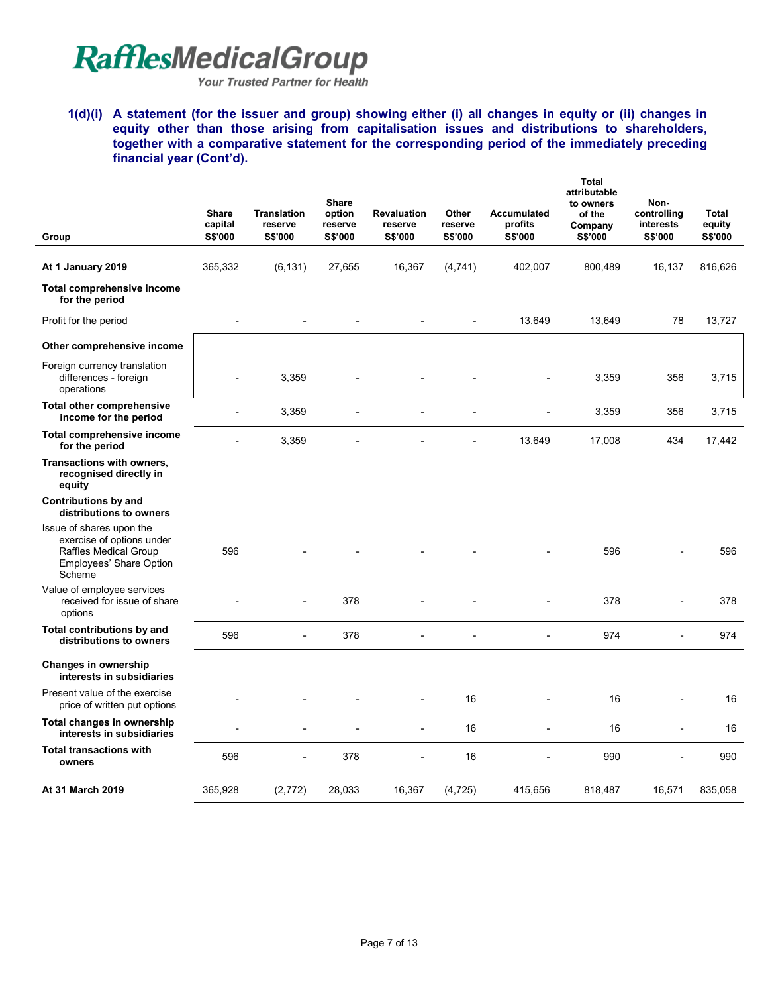Your Trusted Partner for Health

**1(d)(i) A statement (for the issuer and group) showing either (i) all changes in equity or (ii) changes in equity other than those arising from capitalisation issues and distributions to shareholders, together with a comparative statement for the corresponding period of the immediately preceding financial year (Cont'd).** 

| Group                                                                                                               | <b>Share</b><br>capital<br>S\$'000 | <b>Translation</b><br>reserve<br><b>S\$'000</b> | Share<br>option<br>reserve<br>S\$'000 | <b>Revaluation</b><br>reserve<br>S\$'000 | Other<br>reserve<br>S\$'000 | Accumulated<br>profits<br>S\$'000 | Total<br>attributable<br>to owners<br>of the<br>Company<br>S\$'000 | Non-<br>controlling<br>interests<br>S\$'000 | <b>Total</b><br>equity<br>S\$'000 |
|---------------------------------------------------------------------------------------------------------------------|------------------------------------|-------------------------------------------------|---------------------------------------|------------------------------------------|-----------------------------|-----------------------------------|--------------------------------------------------------------------|---------------------------------------------|-----------------------------------|
|                                                                                                                     |                                    |                                                 |                                       |                                          |                             |                                   |                                                                    |                                             |                                   |
| At 1 January 2019                                                                                                   | 365,332                            | (6, 131)                                        | 27,655                                | 16,367                                   | (4,741)                     | 402,007                           | 800,489                                                            | 16,137                                      | 816,626                           |
| Total comprehensive income<br>for the period                                                                        |                                    |                                                 |                                       |                                          |                             |                                   |                                                                    |                                             |                                   |
| Profit for the period                                                                                               |                                    |                                                 |                                       |                                          |                             | 13,649                            | 13,649                                                             | 78                                          | 13,727                            |
| Other comprehensive income                                                                                          |                                    |                                                 |                                       |                                          |                             |                                   |                                                                    |                                             |                                   |
| Foreign currency translation<br>differences - foreign<br>operations                                                 |                                    | 3,359                                           |                                       |                                          |                             |                                   | 3,359                                                              | 356                                         | 3.715                             |
| <b>Total other comprehensive</b><br>income for the period                                                           | $\overline{a}$                     | 3,359                                           |                                       |                                          |                             |                                   | 3,359                                                              | 356                                         | 3,715                             |
| Total comprehensive income<br>for the period                                                                        | $\overline{a}$                     | 3,359                                           | $\overline{a}$                        |                                          | $\overline{a}$              | 13,649                            | 17,008                                                             | 434                                         | 17,442                            |
| Transactions with owners,<br>recognised directly in<br>equity                                                       |                                    |                                                 |                                       |                                          |                             |                                   |                                                                    |                                             |                                   |
| <b>Contributions by and</b><br>distributions to owners                                                              |                                    |                                                 |                                       |                                          |                             |                                   |                                                                    |                                             |                                   |
| Issue of shares upon the<br>exercise of options under<br>Raffles Medical Group<br>Employees' Share Option<br>Scheme | 596                                |                                                 |                                       |                                          |                             |                                   | 596                                                                |                                             | 596                               |
| Value of employee services<br>received for issue of share<br>options                                                |                                    |                                                 | 378                                   |                                          |                             |                                   | 378                                                                |                                             | 378                               |
| Total contributions by and<br>distributions to owners                                                               | 596                                | $\overline{a}$                                  | 378                                   |                                          |                             |                                   | 974                                                                |                                             | 974                               |
| <b>Changes in ownership</b><br>interests in subsidiaries                                                            |                                    |                                                 |                                       |                                          |                             |                                   |                                                                    |                                             |                                   |
| Present value of the exercise<br>price of written put options                                                       |                                    |                                                 |                                       |                                          | 16                          |                                   | 16                                                                 |                                             | 16                                |
| Total changes in ownership<br>interests in subsidiaries                                                             |                                    |                                                 |                                       |                                          | 16                          | $\overline{a}$                    | 16                                                                 | $\overline{a}$                              | 16                                |
| <b>Total transactions with</b><br>owners                                                                            | 596                                | $\overline{a}$                                  | 378                                   | $\overline{a}$                           | 16                          | $\overline{a}$                    | 990                                                                |                                             | 990                               |
| At 31 March 2019                                                                                                    | 365,928                            | (2,772)                                         | 28,033                                | 16,367                                   | (4, 725)                    | 415,656                           | 818,487                                                            | 16,571                                      | 835,058                           |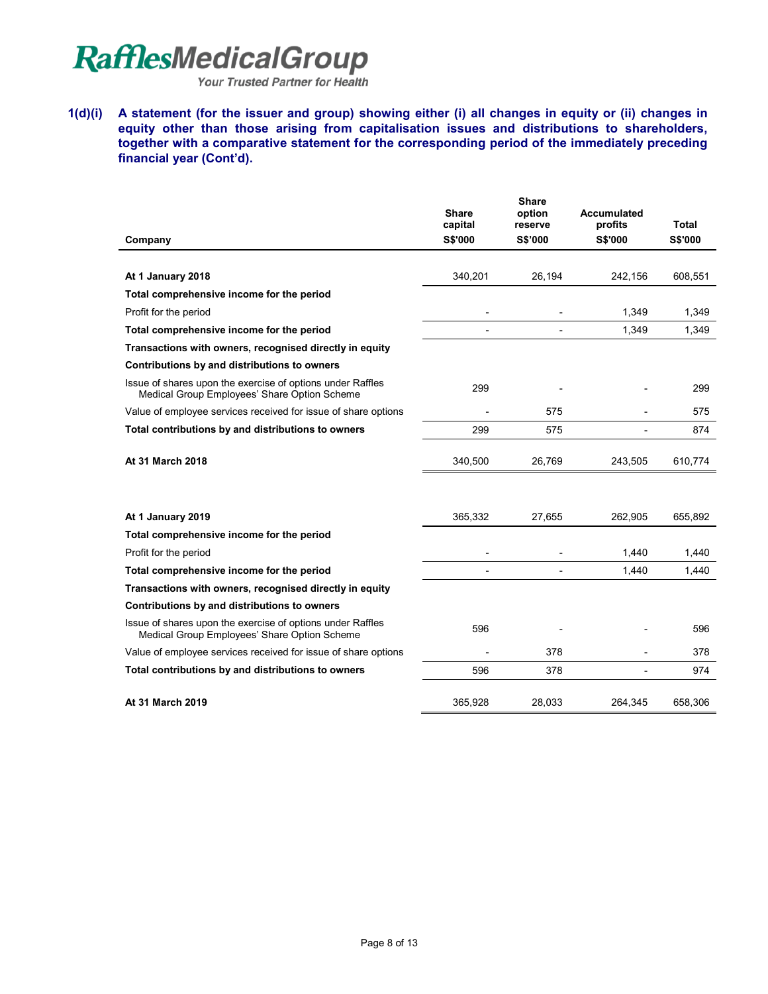Your Trusted Partner for Health

**1(d)(i) A statement (for the issuer and group) showing either (i) all changes in equity or (ii) changes in equity other than those arising from capitalisation issues and distributions to shareholders, together with a comparative statement for the corresponding period of the immediately preceding financial year (Cont'd).** 

|                                                                                                            | <b>Share</b>              | <b>Share</b><br>option    | Accumulated<br>profits   | Total          |
|------------------------------------------------------------------------------------------------------------|---------------------------|---------------------------|--------------------------|----------------|
| Company                                                                                                    | capital<br><b>S\$'000</b> | reserve<br><b>S\$'000</b> | <b>S\$'000</b>           | <b>S\$'000</b> |
|                                                                                                            |                           |                           |                          |                |
| At 1 January 2018                                                                                          | 340,201                   | 26,194                    | 242,156                  | 608,551        |
| Total comprehensive income for the period                                                                  |                           |                           |                          |                |
| Profit for the period                                                                                      |                           |                           | 1.349                    | 1,349          |
| Total comprehensive income for the period                                                                  |                           |                           | 1,349                    | 1,349          |
| Transactions with owners, recognised directly in equity                                                    |                           |                           |                          |                |
| Contributions by and distributions to owners                                                               |                           |                           |                          |                |
| Issue of shares upon the exercise of options under Raffles<br>Medical Group Employees' Share Option Scheme | 299                       |                           |                          | 299            |
| Value of employee services received for issue of share options                                             |                           | 575                       |                          | 575            |
| Total contributions by and distributions to owners                                                         | 299                       | 575                       |                          | 874            |
| At 31 March 2018                                                                                           | 340.500                   | 26.769                    | 243.505                  | 610,774        |
| At 1 January 2019                                                                                          | 365,332                   | 27.655                    | 262.905                  | 655.892        |
| Total comprehensive income for the period                                                                  |                           |                           |                          |                |
| Profit for the period                                                                                      |                           |                           | 1,440                    | 1,440          |
| Total comprehensive income for the period                                                                  |                           | $\overline{a}$            | 1,440                    | 1,440          |
| Transactions with owners, recognised directly in equity                                                    |                           |                           |                          |                |
| Contributions by and distributions to owners                                                               |                           |                           |                          |                |
| Issue of shares upon the exercise of options under Raffles<br>Medical Group Employees' Share Option Scheme | 596                       |                           |                          | 596            |
| Value of employee services received for issue of share options                                             |                           | 378                       |                          | 378            |
| Total contributions by and distributions to owners                                                         | 596                       | 378                       | $\overline{\phantom{a}}$ | 974            |
| At 31 March 2019                                                                                           | 365,928                   | 28,033                    | 264,345                  | 658,306        |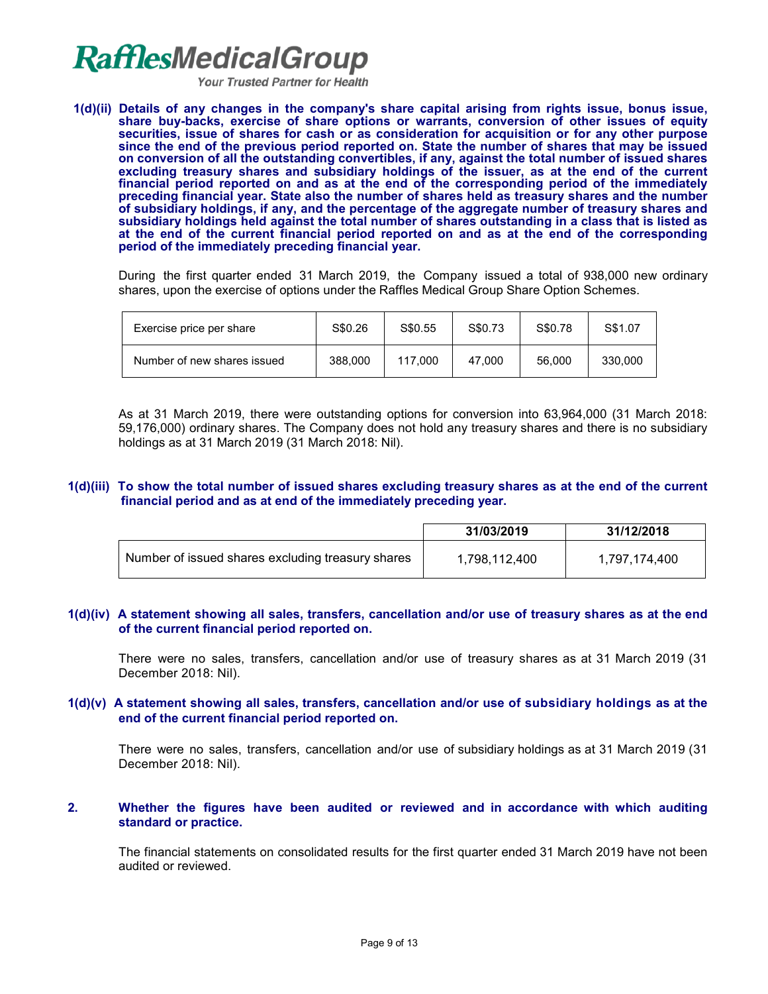Your Trusted Partner for Health

**1(d)(ii) Details of any changes in the company's share capital arising from rights issue, bonus issue, share buy-backs, exercise of share options or warrants, conversion of other issues of equity securities, issue of shares for cash or as consideration for acquisition or for any other purpose since the end of the previous period reported on. State the number of shares that may be issued on conversion of all the outstanding convertibles, if any, against the total number of issued shares excluding treasury shares and subsidiary holdings of the issuer, as at the end of the current financial period reported on and as at the end of the corresponding period of the immediately preceding financial year. State also the number of shares held as treasury shares and the number of subsidiary holdings, if any, and the percentage of the aggregate number of treasury shares and subsidiary holdings held against the total number of shares outstanding in a class that is listed as at the end of the current financial period reported on and as at the end of the corresponding period of the immediately preceding financial year.**

During the first quarter ended 31 March 2019, the Company issued a total of 938,000 new ordinary shares, upon the exercise of options under the Raffles Medical Group Share Option Schemes.

| Exercise price per share    | S\$0.26 | S\$0.55 | S\$0.73 | S\$0.78 | S\$1.07 |
|-----------------------------|---------|---------|---------|---------|---------|
| Number of new shares issued | 388,000 | 117.000 | 47.000  | 56,000  | 330,000 |

As at 31 March 2019, there were outstanding options for conversion into 63,964,000 (31 March 2018: 59,176,000) ordinary shares. The Company does not hold any treasury shares and there is no subsidiary holdings as at 31 March 2019 (31 March 2018: Nil).

#### **1(d)(iii) To show the total number of issued shares excluding treasury shares as at the end of the current financial period and as at end of the immediately preceding year.**

|                                                   | 31/03/2019    | 31/12/2018    |
|---------------------------------------------------|---------------|---------------|
| Number of issued shares excluding treasury shares | 1,798,112,400 | 1,797,174,400 |

#### **1(d)(iv) A statement showing all sales, transfers, cancellation and/or use of treasury shares as at the end of the current financial period reported on.**

There were no sales, transfers, cancellation and/or use of treasury shares as at 31 March 2019 (31 December 2018: Nil).

#### **1(d)(v) A statement showing all sales, transfers, cancellation and/or use of subsidiary holdings as at the end of the current financial period reported on.**

There were no sales, transfers, cancellation and/or use of subsidiary holdings as at 31 March 2019 (31 December 2018: Nil).

#### **2. Whether the figures have been audited or reviewed and in accordance with which auditing standard or practice.**

The financial statements on consolidated results for the first quarter ended 31 March 2019 have not been audited or reviewed.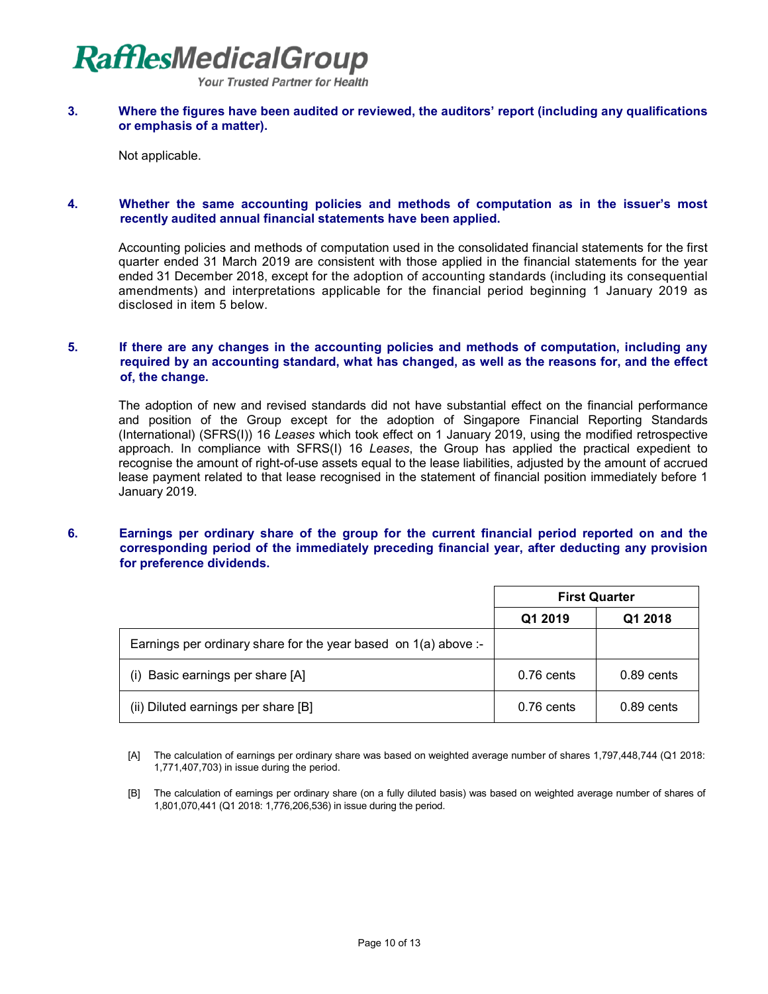**Your Trusted Partner for Health** 

#### **3. Where the figures have been audited or reviewed, the auditors' report (including any qualifications or emphasis of a matter).**

Not applicable.

### **4. Whether the same accounting policies and methods of computation as in the issuer's most recently audited annual financial statements have been applied.**

Accounting policies and methods of computation used in the consolidated financial statements for the first quarter ended 31 March 2019 are consistent with those applied in the financial statements for the year ended 31 December 2018, except for the adoption of accounting standards (including its consequential amendments) and interpretations applicable for the financial period beginning 1 January 2019 as disclosed in item 5 below.

### **5. If there are any changes in the accounting policies and methods of computation, including any required by an accounting standard, what has changed, as well as the reasons for, and the effect of, the change.**

The adoption of new and revised standards did not have substantial effect on the financial performance and position of the Group except for the adoption of Singapore Financial Reporting Standards (International) (SFRS(I)) 16 *Leases* which took effect on 1 January 2019, using the modified retrospective approach. In compliance with SFRS(I) 16 *Leases*, the Group has applied the practical expedient to recognise the amount of right-of-use assets equal to the lease liabilities, adjusted by the amount of accrued lease payment related to that lease recognised in the statement of financial position immediately before 1 January 2019.

### **6. Earnings per ordinary share of the group for the current financial period reported on and the corresponding period of the immediately preceding financial year, after deducting any provision for preference dividends.**

|                                                                   | <b>First Quarter</b> |              |  |
|-------------------------------------------------------------------|----------------------|--------------|--|
|                                                                   | Q1 2019              | Q1 2018      |  |
| Earnings per ordinary share for the year based on $1(a)$ above :- |                      |              |  |
| Basic earnings per share [A]<br>(i)                               | $0.76$ cents         | $0.89$ cents |  |
| (ii) Diluted earnings per share [B]                               | 0.76 cents           | $0.89$ cents |  |

- [A] The calculation of earnings per ordinary share was based on weighted average number of shares 1,797,448,744 (Q1 2018: 1,771,407,703) in issue during the period.
- [B] The calculation of earnings per ordinary share (on a fully diluted basis) was based on weighted average number of shares of 1,801,070,441 (Q1 2018: 1,776,206,536) in issue during the period.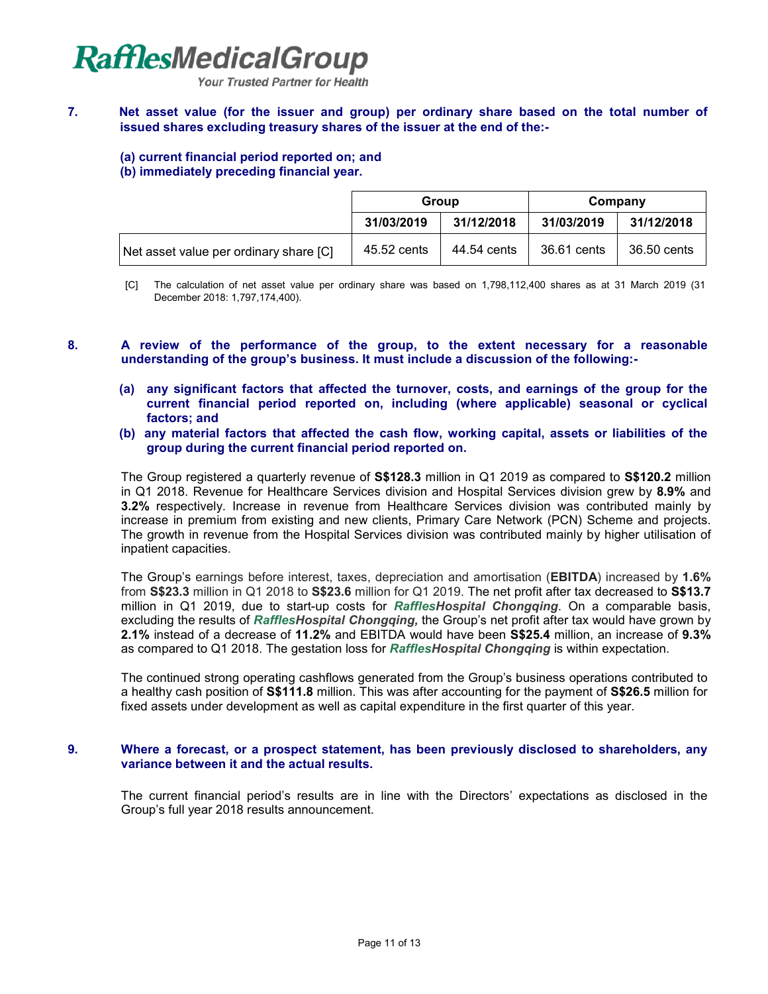

# **7. Net asset value (for the issuer and group) per ordinary share based on the total number of issued shares excluding treasury shares of the issuer at the end of the:-**

#### **(a) current financial period reported on; and (b) immediately preceding financial year.**

|                                        | Group       |             | Company     |             |
|----------------------------------------|-------------|-------------|-------------|-------------|
|                                        | 31/03/2019  | 31/12/2018  | 31/03/2019  | 31/12/2018  |
| Net asset value per ordinary share [C] | 45.52 cents | 44.54 cents | 36.61 cents | 36.50 cents |

- [C] The calculation of net asset value per ordinary share was based on 1,798,112,400 shares as at 31 March 2019 (31 December 2018: 1,797,174,400).
- **8. A review of the performance of the group, to the extent necessary for a reasonable understanding of the group's business. It must include a discussion of the following:-**
	- **(a) any significant factors that affected the turnover, costs, and earnings of the group for the current financial period reported on, including (where applicable) seasonal or cyclical factors; and**
	- **(b) any material factors that affected the cash flow, working capital, assets or liabilities of the group during the current financial period reported on.**

The Group registered a quarterly revenue of **S\$128.3** million in Q1 2019 as compared to **S\$120.2** million in Q1 2018. Revenue for Healthcare Services division and Hospital Services division grew by **8.9%** and **3.2%** respectively. Increase in revenue from Healthcare Services division was contributed mainly by increase in premium from existing and new clients, Primary Care Network (PCN) Scheme and projects. The growth in revenue from the Hospital Services division was contributed mainly by higher utilisation of inpatient capacities.

The Group's earnings before interest, taxes, depreciation and amortisation (**EBITDA**) increased by **1.6%**  from **S\$23.3** million in Q1 2018 to **S\$23.6** million for Q1 2019. The net profit after tax decreased to **S\$13.7** million in Q1 2019, due to start-up costs for *RafflesHospital Chongqing*. On a comparable basis, excluding the results of *RafflesHospital Chongqing,* the Group's net profit after tax would have grown by **2.1%** instead of a decrease of **11.2%** and EBITDA would have been **S\$25.4** million, an increase of **9.3%**  as compared to Q1 2018. The gestation loss for *RafflesHospital Chongqing* is within expectation.

The continued strong operating cashflows generated from the Group's business operations contributed to a healthy cash position of **S\$111.8** million. This was after accounting for the payment of **S\$26.5** million for fixed assets under development as well as capital expenditure in the first quarter of this year.

#### **9. Where a forecast, or a prospect statement, has been previously disclosed to shareholders, any variance between it and the actual results.**

The current financial period's results are in line with the Directors' expectations as disclosed in the Group's full year 2018 results announcement.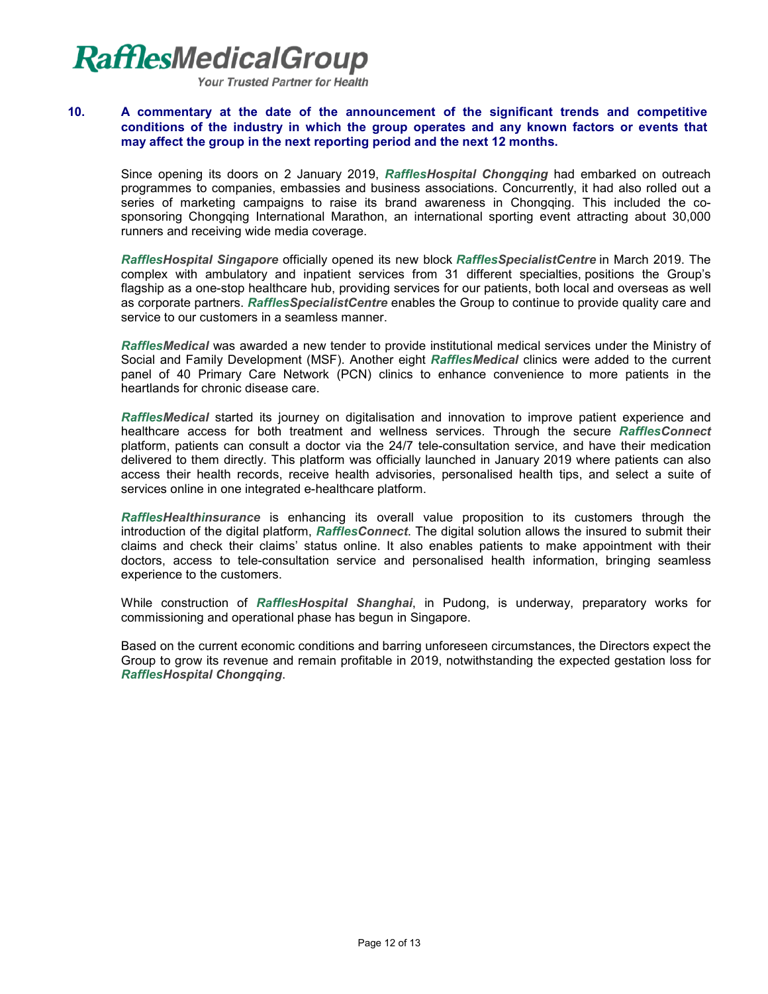Your Trusted Partner for Health

# **10. A commentary at the date of the announcement of the significant trends and competitive conditions of the industry in which the group operates and any known factors or events that may affect the group in the next reporting period and the next 12 months.**

Since opening its doors on 2 January 2019, *RafflesHospital Chongqing* had embarked on outreach programmes to companies, embassies and business associations. Concurrently, it had also rolled out a series of marketing campaigns to raise its brand awareness in Chongqing. This included the cosponsoring Chongqing International Marathon, an international sporting event attracting about 30,000 runners and receiving wide media coverage.

*RafflesHospital Singapore* officially opened its new block *RafflesSpecialistCentre* in March 2019. The complex with ambulatory and inpatient services from 31 different specialties, positions the Group's flagship as a one-stop healthcare hub, providing services for our patients, both local and overseas as well as corporate partners. *RafflesSpecialistCentre* enables the Group to continue to provide quality care and service to our customers in a seamless manner.

*RafflesMedical* was awarded a new tender to provide institutional medical services under the Ministry of Social and Family Development (MSF). Another eight *RafflesMedical* clinics were added to the current panel of 40 Primary Care Network (PCN) clinics to enhance convenience to more patients in the heartlands for chronic disease care.

*RafflesMedical* started its journey on digitalisation and innovation to improve patient experience and healthcare access for both treatment and wellness services. Through the secure *RafflesConnect* platform, patients can consult a doctor via the 24/7 tele-consultation service, and have their medication delivered to them directly. This platform was officially launched in January 2019 where patients can also access their health records, receive health advisories, personalised health tips, and select a suite of services online in one integrated e-healthcare platform.

*RafflesHealthinsurance* is enhancing its overall value proposition to its customers through the introduction of the digital platform, *RafflesConnect*. The digital solution allows the insured to submit their claims and check their claims' status online. It also enables patients to make appointment with their doctors, access to tele-consultation service and personalised health information, bringing seamless experience to the customers.

While construction of *RafflesHospital Shanghai*, in Pudong, is underway, preparatory works for commissioning and operational phase has begun in Singapore.

Based on the current economic conditions and barring unforeseen circumstances, the Directors expect the Group to grow its revenue and remain profitable in 2019, notwithstanding the expected gestation loss for *RafflesHospital Chongqing*.